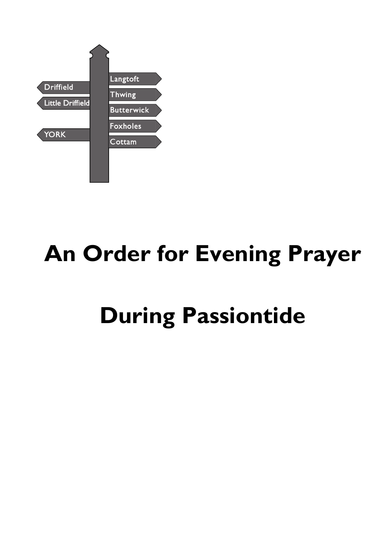

# **An Order for Evening Prayer**

# **During Passiontide**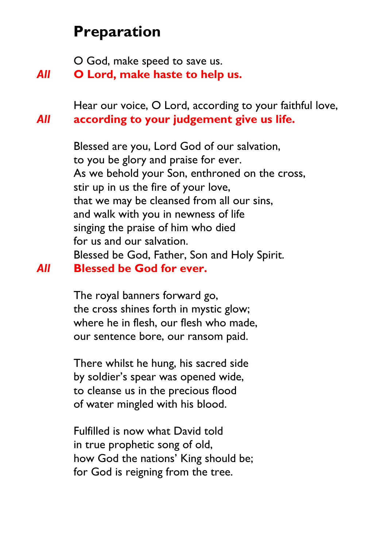# **Preparation**

O God, make speed to save us.

*All* **O Lord, make haste to help us.**

Hear our voice, O Lord, according to your faithful love, *All* **according to your judgement give us life.**

Blessed are you, Lord God of our salvation, to you be glory and praise for ever. As we behold your Son, enthroned on the cross, stir up in us the fire of your love, that we may be cleansed from all our sins, and walk with you in newness of life singing the praise of him who died for us and our salvation. Blessed be God, Father, Son and Holy Spirit. *All* **Blessed be God for ever.**

> The royal banners forward go, the cross shines forth in mystic glow; where he in flesh, our flesh who made, our sentence bore, our ransom paid.

There whilst he hung, his sacred side by soldier's spear was opened wide, to cleanse us in the precious flood of water mingled with his blood.

Fulfilled is now what David told in true prophetic song of old, how God the nations' King should be; for God is reigning from the tree.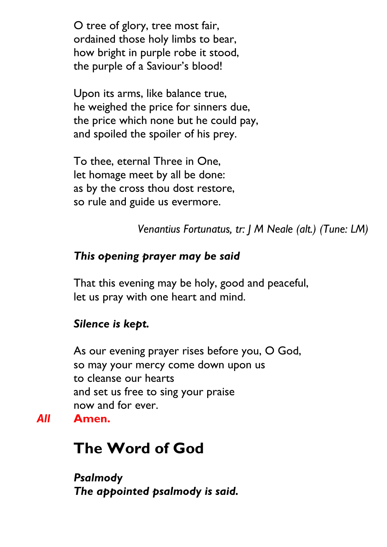O tree of glory, tree most fair, ordained those holy limbs to bear, how bright in purple robe it stood, the purple of a Saviour's blood!

Upon its arms, like balance true, he weighed the price for sinners due, the price which none but he could pay, and spoiled the spoiler of his prey.

To thee, eternal Three in One, let homage meet by all be done: as by the cross thou dost restore, so rule and guide us evermore.

*Venantius Fortunatus, tr: J M Neale (alt.) (Tune: LM)*

### *This opening prayer may be said*

That this evening may be holy, good and peaceful, let us pray with one heart and mind.

#### *Silence is kept.*

As our evening prayer rises before you, O God, so may your mercy come down upon us to cleanse our hearts and set us free to sing your praise now and for ever. *All* **Amen.**

# **The Word of God**

*Psalmody The appointed psalmody is said.*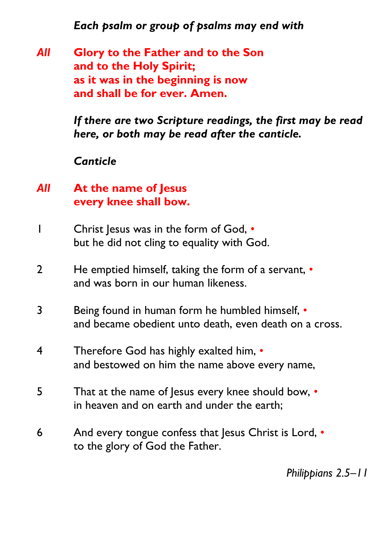*Each psalm or group of psalms may end with*

*All* **Glory to the Father and to the Son and to the Holy Spirit; as it was in the beginning is now and shall be for ever. Amen.**

> *If there are two Scripture readings, the first may be read here, or both may be read after the canticle.*

#### *Canticle*

- *All* **At the name of Jesus every knee shall bow.**
- 1 Christ Jesus was in the form of God, but he did not cling to equality with God.
- 2 He emptied himself, taking the form of a servant,  $\cdot$ and was born in our human likeness.
- 3 Being found in human form he humbled himself, and became obedient unto death, even death on a cross.
- 4 Therefore God has highly exalted him,  $\cdot$ and bestowed on him the name above every name,
- 5 That at the name of Jesus every knee should bow, in heaven and on earth and under the earth;
- 6 And every tongue confess that Jesus Christ is Lord, to the glory of God the Father.

*Philippians 2.5–11*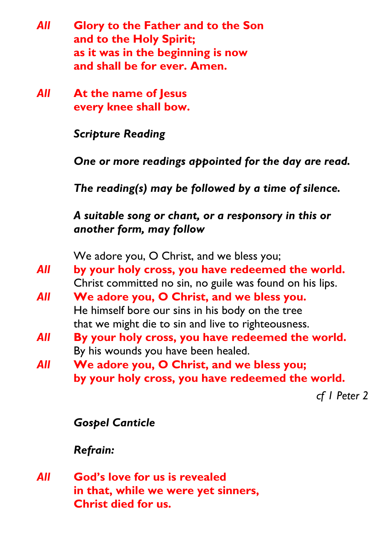- *All* **Glory to the Father and to the Son and to the Holy Spirit; as it was in the beginning is now and shall be for ever. Amen.**
- *All* **At the name of Jesus every knee shall bow.**

*Scripture Reading*

*One or more readings appointed for the day are read.*

*The reading(s) may be followed by a time of silence.*

*A suitable song or chant, or a responsory in this or another form, may follow*

We adore you, O Christ, and we bless you;

- *All* **by your holy cross, you have redeemed the world.** Christ committed no sin, no guile was found on his lips.
- *All* **We adore you, O Christ, and we bless you.** He himself bore our sins in his body on the tree that we might die to sin and live to righteousness.
- *All* **By your holy cross, you have redeemed the world.** By his wounds you have been healed.
- *All* **We adore you, O Christ, and we bless you; by your holy cross, you have redeemed the world.**

*cf 1 Peter 2*

### *Gospel Canticle*

# *Refrain:*

*All* **God's love for us is revealed in that, while we were yet sinners, Christ died for us.**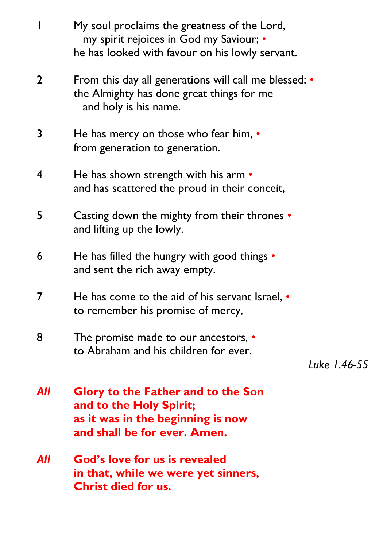|     | My soul proclaims the greatness of the Lord,<br>my spirit rejoices in God my Saviour; •<br>he has looked with favour on his lowly servant. |              |
|-----|--------------------------------------------------------------------------------------------------------------------------------------------|--------------|
| 2   | From this day all generations will call me blessed; •<br>the Almighty has done great things for me<br>and holy is his name.                |              |
| 3   | He has mercy on those who fear him, $\bullet$<br>from generation to generation.                                                            |              |
| 4   | He has shown strength with his arm $\cdot$<br>and has scattered the proud in their conceit,                                                |              |
| 5   | <b>Casting down the mighty from their thrones •</b><br>and lifting up the lowly.                                                           |              |
| 6   | He has filled the hungry with good things $\cdot$<br>and sent the rich away empty.                                                         |              |
| 7   | He has come to the aid of his servant Israel, $\cdot$<br>to remember his promise of mercy,                                                 |              |
| 8   | The promise made to our ancestors, •<br>to Abraham and his children for ever.                                                              | Luke 1.46-55 |
| All | <b>Glory to the Father and to the Son</b><br>and to the Holy Spirit;<br>as it was in the beginning is now<br>and shall be for ever. Amen.  |              |
| All | <b>God's love for us is revealed</b><br>in that, while we were yet sinners,<br><b>Christ died for us.</b>                                  |              |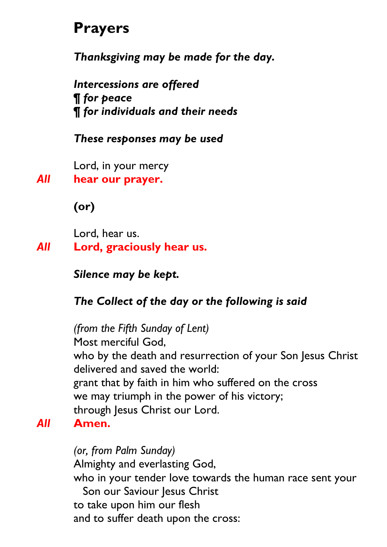# **Prayers**

*Thanksgiving may be made for the day.*

*Intercessions are offered ¶ for peace ¶ for individuals and their needs*

### *These responses may be used*

Lord, in your mercy

*All* **hear our prayer.**

**(or)**

Lord, hear us.

*All* **Lord, graciously hear us.**

*Silence may be kept.*

# *The Collect of the day or the following is said*

*(from the Fifth Sunday of Lent)* Most merciful God, who by the death and resurrection of your Son Jesus Christ delivered and saved the world: grant that by faith in him who suffered on the cross we may triumph in the power of his victory; through Jesus Christ our Lord. *All* **Amen.**

> *(or, from Palm Sunday)* Almighty and everlasting God, who in your tender love towards the human race sent your Son our Saviour Jesus Christ to take upon him our flesh and to suffer death upon the cross: